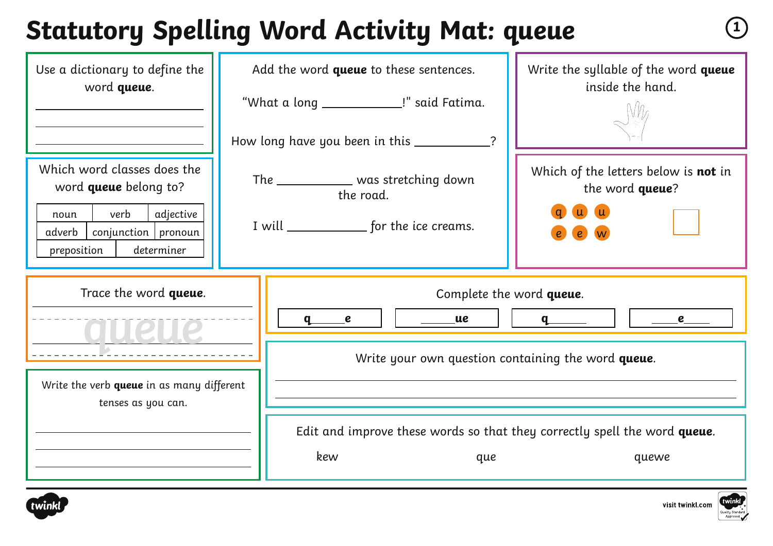## **Statutory Spelling Word Activity Mat: queue <sup>1</sup>**

| Use a dictionary to define the<br>word queue.                                                                                                            |  | Add the word queue to these sentences.<br>"What a long _______________!" said Fatima.<br>How long have you been in this ___________ | Write the syllable of the word queue<br>inside the hand.                           |
|----------------------------------------------------------------------------------------------------------------------------------------------------------|--|-------------------------------------------------------------------------------------------------------------------------------------|------------------------------------------------------------------------------------|
| Which word classes does the<br>word <b>queue</b> belong to?<br>verb<br>adjective<br>noun<br>$conjunction$ pronoun<br>adverb<br>preposition<br>determiner |  | The _____________ was stretching down<br>the road.<br>I will _______________ for the ice creams.                                    | Which of the letters below is not in<br>the word queue?                            |
| Trace the word queue.<br>Write the verb queue in as many different<br>tenses as you can.                                                                 |  | $\_\_\_\$ ue<br>q<br>$\epsilon$                                                                                                     | Complete the word queue.                                                           |
|                                                                                                                                                          |  | Write your own question containing the word queue.                                                                                  |                                                                                    |
|                                                                                                                                                          |  | kew<br>que                                                                                                                          | Edit and improve these words so that they correctly spell the word queue.<br>quewe |



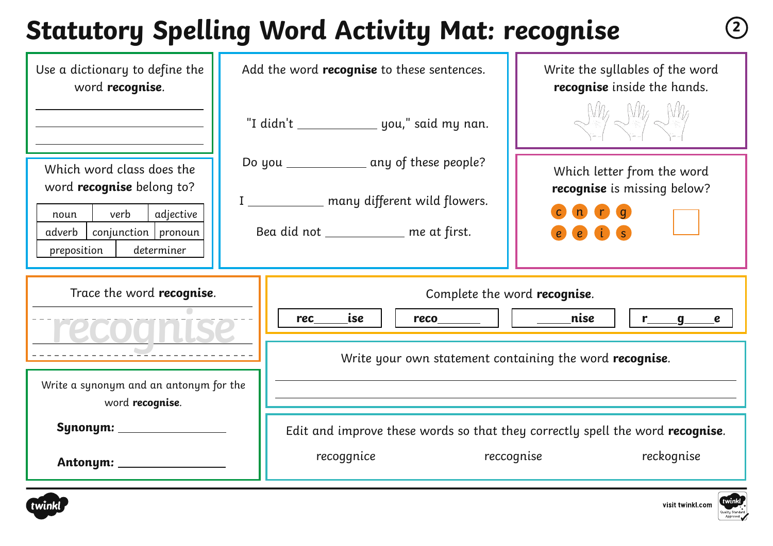## **Statutory Spelling Word Activity Mat: recognise <sup>2</sup>**

| Use a dictionary to define the<br>word recognise.              | Add the word <b>recognise</b> to these sentences.                                             |                                                                                       | Write the syllables of the word<br>recognise inside the hands. |  |
|----------------------------------------------------------------|-----------------------------------------------------------------------------------------------|---------------------------------------------------------------------------------------|----------------------------------------------------------------|--|
|                                                                | "I didn't __________________ you," said my nan.<br>Do you ______________ any of these people? |                                                                                       | Ville Wille Wille                                              |  |
| Which word class does the<br>word <b>recognise</b> belong to?  |                                                                                               |                                                                                       | Which letter from the word<br>recognise is missing below?      |  |
| verb<br>adjective<br>noun<br>$conjunction$   pronoun<br>adverb |                                                                                               | I _____________ many different wild flowers.<br>Bea did not ____________ me at first. | n n a                                                          |  |
| determiner<br>preposition                                      |                                                                                               |                                                                                       | e is                                                           |  |
| Trace the word recognise.                                      |                                                                                               |                                                                                       | Complete the word recognise.                                   |  |
|                                                                | rec                                                                                           | ise<br>$reco$                                                                         | nise<br>r___g____e                                             |  |
|                                                                |                                                                                               | Write your own statement containing the word recognise.                               |                                                                |  |
| Write a synonym and an antonym for the<br>word recognise.      |                                                                                               |                                                                                       |                                                                |  |
|                                                                |                                                                                               | Edit and improve these words so that they correctly spell the word recognise.         |                                                                |  |
|                                                                |                                                                                               | recoggnice                                                                            | reccognise<br>reckognise                                       |  |



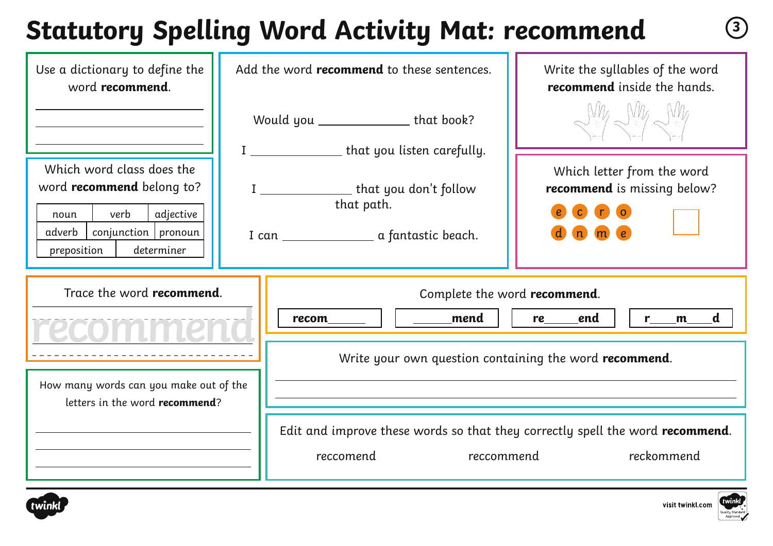# **Statutory Spelling Word Activity Mat: recommend <sup>3</sup>**

| Use a dictionary to define the<br>word recommend.                                                                                                            | Add the word <b>recommend</b> to these sentences.                                                               | Write the syllables of the word<br>recommend inside the hands.                            |
|--------------------------------------------------------------------------------------------------------------------------------------------------------------|-----------------------------------------------------------------------------------------------------------------|-------------------------------------------------------------------------------------------|
|                                                                                                                                                              | Would you ______________________ that book?                                                                     | $N_{\mathcal{A}}$                                                                         |
| Which word class does the<br>word <b>recommend</b> belong to?<br>verb<br>adjective<br>noun<br>conjunction   pronoun<br>adverb  <br>determiner<br>preposition | I ___________________ that you listen carefully.<br>I _____________________ that you don't follow<br>that path. | Which letter from the word<br>recommend is missing below?<br>$\overline{c}$<br>$\Gamma$ 0 |
| Trace the word recommend.                                                                                                                                    | _____mend<br>$recom$                                                                                            | Complete the word recommend.<br>end<br>r___m___d<br>re_____                               |
|                                                                                                                                                              |                                                                                                                 | Write your own question containing the word recommend.                                    |
| How many words can you make out of the<br>letters in the word recommend?                                                                                     |                                                                                                                 |                                                                                           |



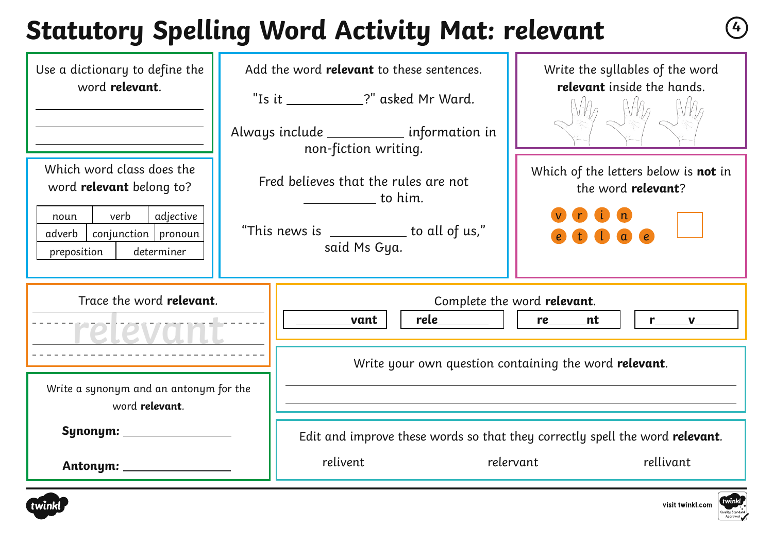### **Statutory Spelling Word Activity Mat: relevant <sup>4</sup>**

| Use a dictionary to define the<br>word relevant.                                                                                                          |                                                                                                                                                                                                                 | Add the word relevant to these sentences.<br>"Is it ___________?" asked Mr Ward.<br>Always include ____________ information in | Write the syllables of the word<br>relevant inside the hands.                                          |  |
|-----------------------------------------------------------------------------------------------------------------------------------------------------------|-----------------------------------------------------------------------------------------------------------------------------------------------------------------------------------------------------------------|--------------------------------------------------------------------------------------------------------------------------------|--------------------------------------------------------------------------------------------------------|--|
| Which word class does the<br>word <b>relevant</b> belong to?<br>verb<br>adjective<br>noun<br>$conjunction$ pronoun<br>adverb<br>preposition<br>determiner | non-fiction writing.<br>Fred believes that the rules are not<br>$\begin{array}{c} \begin{array}{c} \begin{array}{c} \end{array} \end{array}$ to him.<br>"This news is __________ to all of us,"<br>said Ms Gya. |                                                                                                                                | Which of the letters below is not in<br>the word relevant?<br>a e                                      |  |
| Trace the word relevant.<br>relevant                                                                                                                      |                                                                                                                                                                                                                 | Complete the word relevant.<br><u>rele  </u><br>re______<br>nt<br>vant<br>$\mathbf{L}$<br>$r \sim v$                           |                                                                                                        |  |
| Write a synonym and an antonym for the<br>word relevant.                                                                                                  |                                                                                                                                                                                                                 | Write your own question containing the word relevant.                                                                          |                                                                                                        |  |
|                                                                                                                                                           |                                                                                                                                                                                                                 | relivent                                                                                                                       | Edit and improve these words so that they correctly spell the word relevant.<br>rellivant<br>relervant |  |